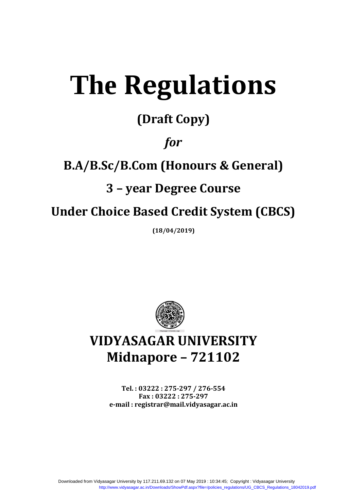# **The Regulations**

### **(Draft Copy)**

### *for*

### **B.A/B.Sc/B.Com (Honours & General)**

### **3 – year Degree Course**

### **Under Choice Based Credit System (CBCS)**

**(18/04/2019)**



## **VIDYASAGAR UNIVERSITY Midnapore – 721102**

**Tel. : 03222 : 275-297 / 276-554 Fax : 03222 : 275-297 e-mail : registrar@mail.vidyasagar.ac.in**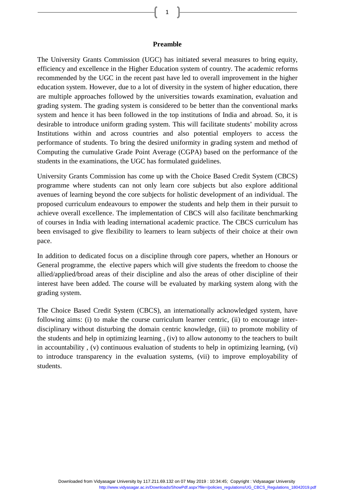#### **Preamble**

The University Grants Commission (UGC) has initiated several measures to bring equity, efficiency and excellence in the Higher Education system of country. The academic reforms recommended by the UGC in the recent past have led to overall improvement in the higher education system. However, due to a lot of diversity in the system of higher education, there are multiple approaches followed by the universities towards examination, evaluation and grading system. The grading system is considered to be better than the conventional marks system and hence it has been followed in the top institutions of India and abroad. So, it is desirable to introduce uniform grading system. This will facilitate students' mobility across Institutions within and across countries and also potential employers to access the performance of students. To bring the desired uniformity in grading system and method of Computing the cumulative Grade Point Average (CGPA) based on the performance of the students in the examinations, the UGC has formulated guidelines.

University Grants Commission has come up with the Choice Based Credit System (CBCS) programme where students can not only learn core subjects but also explore additional avenues of learning beyond the core subjects for holistic development of an individual. The proposed curriculum endeavours to empower the students and help them in their pursuit to achieve overall excellence. The implementation of CBCS will also facilitate benchmarking of courses in India with leading international academic practice. The CBCS curriculum has been envisaged to give flexibility to learners to learn subjects of their choice at their own pace.

In addition to dedicated focus on a discipline through core papers, whether an Honours or General programme, the elective papers which will give students the freedom to choose the allied/applied/broad areas of their discipline and also the areas of other discipline of their interest have been added. The course will be evaluated by marking system along with the grading system.

The Choice Based Credit System (CBCS), an internationally acknowledged system, have following aims: (i) to make the course curriculum learner centric, (ii) to encourage interdisciplinary without disturbing the domain centric knowledge, (iii) to promote mobility of the students and help in optimizing learning , (iv) to allow autonomy to the teachers to built in accountability , (v) continuous evaluation of students to help in optimizing learning, (vi) to introduce transparency in the evaluation systems, (vii) to improve employability of students.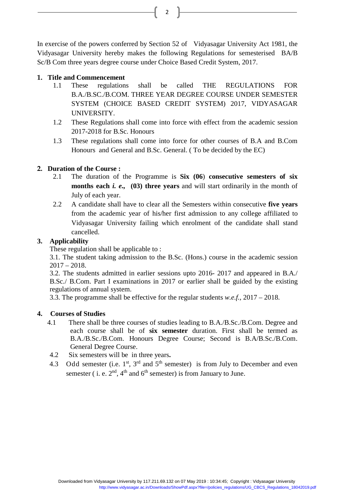In exercise of the powers conferred by Section 52 of Vidyasagar University Act 1981, the Vidyasagar University hereby makes the following Regulations for semesterised BA/B Sc/B Com three years degree course under Choice Based Credit System, 2017.

#### **1. Title and Commencement**

- 1.1 These regulations shall be called THE REGULATIONS FOR B.A./B.SC./B.COM. THREE YEAR DEGREE COURSE UNDER SEMESTER SYSTEM (CHOICE BASED CREDIT SYSTEM) 2017, VIDYASAGAR UNIVERSITY.
- 1.2 These Regulations shall come into force with effect from the academic session 2017-2018 for B.Sc. Honours
- 1.3 These regulations shall come into force for other courses of B.A and B.Com Honours and General and B.Sc. General. ( To be decided by the EC)

#### **2. Duration of the Course :**

- 2.1 The duration of the Programme is **Six (06**) **consecutive semesters of six months each** *i. e.,* **(03) three years** and will start ordinarily in the month of July of each year.
- 2.2 A candidate shall have to clear all the Semesters within consecutive **five years** from the academic year of his/her first admission to any college affiliated to Vidyasagar University failing which enrolment of the candidate shall stand cancelled.

#### **3. Applicability**

These regulation shall be applicable to :

3.1. The student taking admission to the B.Sc. (Hons.) course in the academic session  $2017 - 2018$ .

3.2. The students admitted in earlier sessions upto 2016- 2017 and appeared in B.A./ B.Sc./ B.Com. Part I examinations in 2017 or earlier shall be guided by the existing regulations of annual system.

3.3. The programme shall be effective for the regular students *w.e.f.,* 2017 – 2018.

#### **4. Courses of Studies**

- 4.1 There shall be three courses of studies leading to B.A./B.Sc./B.Com. Degree and each course shall be of **six semester** duration. First shall be termed as B.A./B.Sc./B.Com. Honours Degree Course; Second is B.A/B.Sc./B.Com. General Degree Course.
- 4.2 Six semesters will be in three years**.**
- 4.3 Odd semester (i.e.  $1<sup>st</sup>$ ,  $3<sup>rd</sup>$  and  $5<sup>th</sup>$  semester) is from July to December and even semester ( i. e.  $2<sup>nd</sup>$ ,  $4<sup>th</sup>$  and  $6<sup>th</sup>$  semester) is from January to June.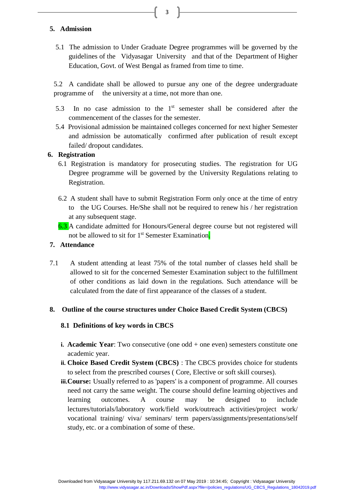#### **5. Admission**

5.1 The admission to Under Graduate Degree programmes will be governed by the guidelines of the Vidyasagar University and that of the Department of Higher Education, Govt. of West Bengal as framed from time to time.

3

5.2 A candidate shall be allowed to pursue any one of the degree undergraduate programme of the university at a time, not more than one.

- 5.3 In no case admission to the  $1<sup>st</sup>$  semester shall be considered after the commencement of the classes for the semester.
- 5.4 Provisional admission be maintained colleges concerned for next higher Semester and admission be automatically confirmed after publication of result except failed/ dropout candidates.

#### **6. Registration**

- 6.1 Registration is mandatory for prosecuting studies. The registration for UG Degree programme will be governed by the University Regulations relating to Registration.
- 6.2 A student shall have to submit Registration Form only once at the time of entry to the UG Courses. He/She shall not be required to renew his / her registration at any subsequent stage.
- 6.3 A candidate admitted for Honours/General degree course but not registered will not be allowed to sit for 1<sup>st</sup> Semester Examination.

#### **7. Attendance**

7.1 A student attending at least 75% of the total number of classes held shall be allowed to sit for the concerned Semester Examination subject to the fulfillment of other conditions as laid down in the regulations. Such attendance will be calculated from the date of first appearance of the classes of a student.

#### **8. Outline of the course structures under Choice Based Credit System (CBCS)**

#### **8.1 Definitions of key words in CBCS**

- **i. Academic Year**: Two consecutive (one odd + one even) semesters constitute one academic year.
- **ii. Choice Based Credit System (CBCS)** : The CBCS provides choice for students to select from the prescribed courses ( Core, Elective or soft skill courses).
- **iii.Course:** Usually referred to as 'papers' is a component of programme. All courses need not carry the same weight. The course should define learning objectives and learning outcomes. A course may be designed to include lectures/tutorials/laboratory work/field work/outreach activities/project work/ vocational training/ viva/ seminars/ term papers/assignments/presentations/self study, etc. or a combination of some of these.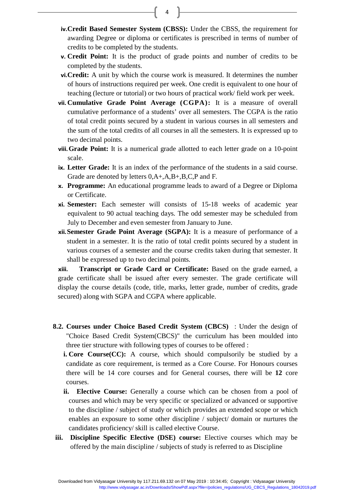$\begin{bmatrix} 4 \end{bmatrix}$ 

- **iv.Credit Based Semester System (CBSS):** Under the CBSS, the requirement for awarding Degree or diploma or certificates is prescribed in terms of number of credits to be completed by the students.
- **v. Credit Point:** It is the product of grade points and number of credits to be completed by the students.
- **vi.Credit:** A unit by which the course work is measured. It determines the number of hours of instructions required per week. One credit is equivalent to one hour of teaching (lecture or tutorial) or two hours of practical work/ field work per week.
- **vii. Cumulative Grade Point Average (CGPA):** It is a measure of overall cumulative performance of a students' over all semesters. The CGPA is the ratio of total credit points secured by a student in various courses in all semesters and the sum of the total credits of all courses in all the semesters. It is expressed up to two decimal points.
- **viii.Grade Point:** It is a numerical grade allotted to each letter grade on a 10-point scale.
- **ix. Letter Grade:** It is an index of the performance of the students in a said course. Grade are denoted by letters 0,A+,A,B+,B,C,P and F.
- **x. Programme:** An educational programme leads to award of a Degree or Diploma or Certificate.
- **xi. Semester:** Each semester will consists of 15-18 weeks of academic year equivalent to 90 actual teaching days. The odd semester may be scheduled from July to December and even semester from January to June.
- **xii.Semester Grade Point Average (SGPA):** It is a measure of performance of a student in a semester. It is the ratio of total credit points secured by a student in various courses of a semester and the course credits taken during that semester. It shall be expressed up to two decimal points.

**xiii. Transcript or Grade Card or Certificate:** Based on the grade earned, a grade certificate shall be issued after every semester. The grade certificate will display the course details (code, title, marks, letter grade, number of credits, grade secured) along with SGPA and CGPA where applicable.

- **8.2. Courses under Choice Based Credit System (CBCS)** : Under the design of "Choice Based Credit System(CBCS)" the curriculum has been moulded into three tier structure with following types of courses to be offered :
	- **i.** Core Course(CC): A course, which should compulsorily be studied by a candidate as core requirement, is termed as a Core Course. For Honours courses there will be 14 core courses and for General courses, there will be **12** core courses.
	- **ii. Elective Course:** Generally a course which can be chosen from a pool of courses and which may be very specific or specialized or advanced or supportive to the discipline / subject of study or which provides an extended scope or which enables an exposure to some other discipline / subject/ domain or nurtures the candidates proficiency/ skill is called elective Course.
- **iii. Discipline Specific Elective (DSE) course:** Elective courses which may be offered by the main discipline / subjects of study is referred to as Discipline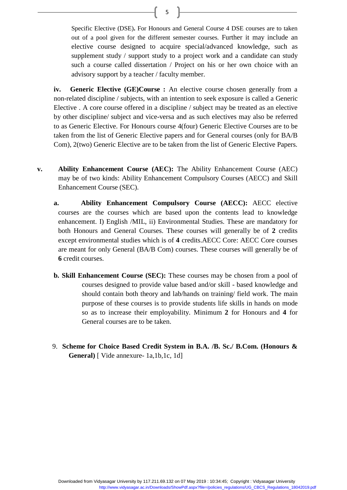Specific Elective (DSE)**.** For Honours and General Course 4 DSE courses are to taken out of a pool given for the different semester courses. Further it may include an elective course designed to acquire special/advanced knowledge, such as supplement study / support study to a project work and a candidate can study such a course called dissertation / Project on his or her own choice with an advisory support by a teacher / faculty member.

**iv. Generic Elective (GE)Course :** An elective course chosen generally from a non-related discipline / subjects, with an intention to seek exposure is called a Generic Elective . A core course offered in a discipline / subject may be treated as an elective by other discipline/ subject and vice-versa and as such electives may also be referred to as Generic Elective. For Honours course 4(four) Generic Elective Courses are to be taken from the list of Generic Elective papers and for General courses (only for BA/B Com), 2(two) Generic Elective are to be taken from the list of Generic Elective Papers.

- **v. Ability Enhancement Course (AEC):** The Ability Enhancement Course (AEC) may be of two kinds: Ability Enhancement Compulsory Courses (AECC) and Skill Enhancement Course (SEC).
	- **a. Ability Enhancement Compulsory Course (AECC):** AECC elective courses are the courses which are based upon the contents lead to knowledge enhancement. I) English /MIL, ii) Environmental Studies. These are mandatory for both Honours and General Courses. These courses will generally be of **2** credits except environmental studies which is of **4** credits.AECC Core: AECC Core courses are meant for only General (BA/B Com) courses. These courses will generally be of **6** credit courses.
	- **b. Skill Enhancement Course (SEC):** These courses may be chosen from a pool of courses designed to provide value based and/or skill - based knowledge and should contain both theory and lab/hands on training/ field work. The main purpose of these courses is to provide students life skills in hands on mode so as to increase their employability. Minimum **2** for Honours and **4** for General courses are to be taken.
	- 9. **Scheme for Choice Based Credit System in B.A. /B. Sc./ B.Com. (Honours & General)** [ Vide annexure- 1a,1b,1c, 1d]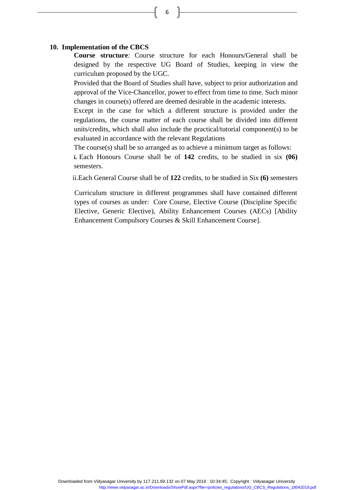#### **10. Implementation of the CBCS**

**Course structure**: Course structure for each Honours/General shall be designed by the respective UG Board of Studies, keeping in view the curriculum proposed by the UGC.

6

Provided that the Board of Studies shall have, subject to prior authorization and approval of the Vice-Chancellor, power to effect from time to time. Such minor changes in course(s) offered are deemed desirable in the academic interests.

Except in the case for which a different structure is provided under the regulations, the course matter of each course shall be divided into different units/credits, which shall also include the practical/tutorial component(s) to be evaluated in accordance with the relevant Regulations

The course(s) shall be so arranged as to achieve a minimum target as follows:

**i.** Each Honours Course shall be of **142** credits, to be studied in six **(06)**  semesters.

ii.Each General Course shall be of **122** credits, to be studied in Six **(6)** semesters

Curriculum structure in different programmes shall have contained different types of courses as under: Core Course, Elective Course (Discipline Specific Elective, Generic Elective), Ability Enhancement Courses (AECs) [Ability Enhancement Compulsory Courses & Skill Enhancement Course].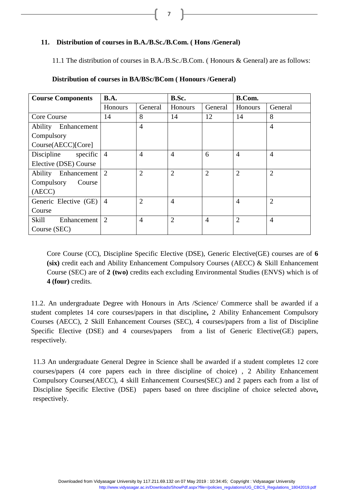7

#### **11. Distribution of courses in B.A./B.Sc./B.Com. ( Hons /General)**

11.1 The distribution of courses in B.A./B.Sc./B.Com. ( Honours & General) are as follows:

| <b>Course Components</b> | <b>B.A.</b>    |                | B.Sc.          |                | B.Com.         |                |
|--------------------------|----------------|----------------|----------------|----------------|----------------|----------------|
|                          | Honours        | General        | Honours        | General        | Honours        | General        |
| Core Course              | 14             | 8              | 14             | 12             | 14             | 8              |
| Ability Enhancement      |                | $\overline{4}$ |                |                |                | $\overline{4}$ |
| Compulsory               |                |                |                |                |                |                |
| Course(AECC)[Core]       |                |                |                |                |                |                |
| specific<br>Discipline   | $\overline{4}$ | $\overline{4}$ | $\overline{A}$ | 6              | $\overline{4}$ | $\overline{4}$ |
| Elective (DSE) Course    |                |                |                |                |                |                |
| Ability Enhancement      | 2              | $\overline{2}$ | $\overline{2}$ | $\overline{2}$ | $\overline{2}$ | $\overline{2}$ |
| Compulsory<br>Course     |                |                |                |                |                |                |
| (AECC)                   |                |                |                |                |                |                |
| Generic Elective (GE)    | $\overline{4}$ | $\overline{2}$ | $\overline{4}$ |                | $\overline{4}$ | $\overline{2}$ |
| Course                   |                |                |                |                |                |                |
| Skill<br>Enhancement     | $\overline{2}$ | $\overline{4}$ | $\overline{2}$ | $\overline{4}$ | $\overline{2}$ | $\overline{4}$ |
| Course (SEC)             |                |                |                |                |                |                |

#### **Distribution of courses in BA/BSc/BCom ( Honours /General)**

Core Course (CC), Discipline Specific Elective (DSE), Generic Elective(GE) courses are of **6 (six)** credit each and Ability Enhancement Compulsory Courses (AECC) & Skill Enhancement Course (SEC) are of **2 (two)** credits each excluding Environmental Studies (ENVS) which is of **4 (four)** credits.

11.2. An undergraduate Degree with Honours in Arts /Science/ Commerce shall be awarded if a student completes 14 core courses/papers in that discipline**,** 2 Ability Enhancement Compulsory Courses (AECC), 2 Skill Enhancement Courses (SEC), 4 courses/papers from a list of Discipline Specific Elective (DSE) and 4 courses/papers from a list of Generic Elective(GE) papers, respectively.

11.3 An undergraduate General Degree in Science shall be awarded if a student completes 12 core courses/papers (4 core papers each in three discipline of choice) , 2 Ability Enhancement Compulsory Courses(AECC), 4 skill Enhancement Courses(SEC) and 2 papers each from a list of Discipline Specific Elective (DSE) papers based on three discipline of choice selected above*,* respectively.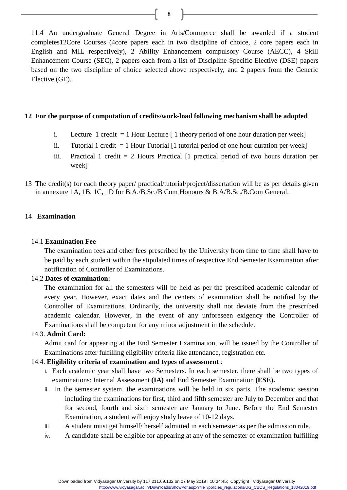11.4 An undergraduate General Degree in Arts/Commerce shall be awarded if a student completes12Core Courses (4core papers each in two discipline of choice, 2 core papers each in English and MIL respectively), 2 Ability Enhancement compulsory Course (AECC), 4 Skill Enhancement Course (SEC), 2 papers each from a list of Discipline Specific Elective (DSE) papers based on the two discipline of choice selected above respectively, and 2 papers from the Generic Elective (GE).

#### **12 For the purpose of computation of credits/work-load following mechanism shall be adopted**

- i. Lecture 1 credit  $= 1$  Hour Lecture  $\lceil 1$  theory period of one hour duration per week]
- ii. Tutorial 1 credit  $= 1$  Hour Tutorial [1 tutorial period of one hour duration per week]
- iii. Practical 1 credit  $= 2$  Hours Practical  $[1]$  practical period of two hours duration per week]
- 13 The credit(s) for each theory paper/ practical/tutorial/project/dissertation will be as per details given in annexure 1A, 1B, 1C, 1D for B.A./B.Sc./B Com Honours & B.A/B.Sc./B.Com General.

#### 14 **Examination**

#### 14.1 **Examination Fee**

The examination fees and other fees prescribed by the University from time to time shall have to be paid by each student within the stipulated times of respective End Semester Examination after notification of Controller of Examinations.

#### 14.2 **Dates of examination:**

The examination for all the semesters will be held as per the prescribed academic calendar of every year. However, exact dates and the centers of examination shall be notified by the Controller of Examinations. Ordinarily, the university shall not deviate from the prescribed academic calendar. However, in the event of any unforeseen exigency the Controller of Examinations shall be competent for any minor adjustment in the schedule.

#### 14.3. **Admit Card:**

Admit card for appearing at the End Semester Examination, will be issued by the Controller of Examinations after fulfilling eligibility criteria like attendance, registration etc.

#### 14.4. **Eligibility criteria of examination and types of assessment** :

- i. Each academic year shall have two Semesters. In each semester, there shall be two types of examinations: Internal Assessment **(IA)** and End Semester Examination **(ESE).**
- ii. In the semester system, the examinations will be held in six parts. The academic session including the examinations for first, third and fifth semester are July to December and that for second, fourth and sixth semester are January to June. Before the End Semester Examination, a student will enjoy study leave of 10-12 days.
- iii. A student must get himself/ herself admitted in each semester as per the admission rule.
- iv. A candidate shall be eligible for appearing at any of the semester of examination fulfilling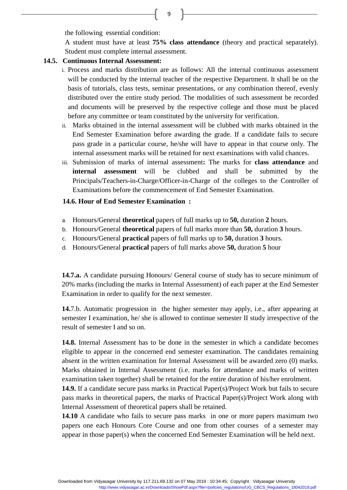the following essential condition:

A student must have at least **75% class attendance** (theory and practical separately). Student must complete internal assessment.

#### **14.5. Continuous Internal Assessment:**

- i. Process and marks distribution are as follows: All the internal continuous assessment will be conducted by the internal teacher of the respective Department. It shall be on the basis of tutorials, class tests, seminar presentations, or any combination thereof, evenly distributed over the entire study period. The modalities of such assessment be recorded and documents will be preserved by the respective college and those must be placed before any committee or team constituted by the university for verification.
- ii. Marks obtained in the internal assessment will be clubbed with marks obtained in the End Semester Examination before awarding the grade. If a candidate fails to secure pass grade in a particular course, he/she will have to appear in that course only. The internal assessment marks will be retained for next examinations with valid chances.
- iii. Submission of marks of internal assessment**:** The marks for **class attendance** and **internal assessment** will be clubbed and shall be submitted by the Principals/Teachers-in-Charge/Officer-in-Charge of the colleges to the Controller of Examinations before the commencement of End Semester Examination.

#### **14.6. Hour of End Semester Examination :**

- a. Honours/General **theoretical** papers of full marks up to **50,** duration **2** hours.
- b. Honours/General **theoretical** papers of full marks more than **50,** duration **3** hours.
- c. Honours/General **practical** papers of full marks up to **50,** duration **3** hours.
- d. Honours/General **practical** papers of full marks above **50,** duration **5** hour

**14.7.a.** A candidate pursuing Honours/ General course of study has to secure minimum of 20% marks (including the marks in Internal Assessment) of each paper at the End Semester Examination in order to qualify for the next semester.

**14.**7.b. Automatic progression in the higher semester may apply, i.e., after appearing at semester I examination, he/ she is allowed to continue semester II study irrespective of the result of semester I and so on.

**14.8.** Internal Assessment has to be done in the semester in which a candidate becomes eligible to appear in the concerned end semester examination. The candidates remaining absent in the written examination for Internal Assessment will be awarded zero (0) marks. Marks obtained in Internal Assessment (i.e. marks for attendance and marks of written examination taken together) shall be retained for the entire duration of his/her enrolment.

**14.9.** If a candidate secure pass marks in Practical Paper(s)/Project Work but fails to secure pass marks in theoretical papers, the marks of Practical Paper(s)/Project Work along with Internal Assessment of theoretical papers shall be retained.

**14.10** A candidate who fails to secure pass marks in one or more papers maximum two papers one each Honours Core Course and one from other courses of a semester may appear in those paper(s) when the concerned End Semester Examination will be held next.

Downloaded from Vidyasagar University by 117.211.69.132 on 07 May 2019 : 10:34:45; Copyright : Vidyasagar University http://www.vidyasagar.ac.in/Downloads/ShowPdf.aspx?file=/policies\_regulations/UG\_CBCS\_Regulations\_18042019.pdf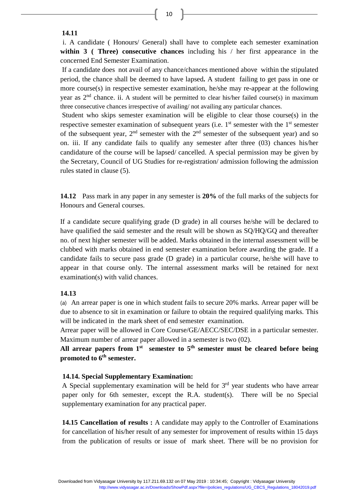#### **14.11**

i. A candidate ( Honours/ General) shall have to complete each semester examination **within 3 ( Three) consecutive chances** including his / her first appearance in the concerned End Semester Examination.

If a candidate does not avail of any chance/chances mentioned above within the stipulated period, the chance shall be deemed to have lapsed**.** A student failing to get pass in one or more course(s) in respective semester examination, he/she may re-appear at the following year as  $2<sup>nd</sup>$  chance. ii. A student will be permitted to clear his/her failed course(s) in maximum three consecutive chances irrespective of availing/ not availing any particular chances.

Student who skips semester examination will be eligible to clear those course(s) in the respective semester examination of subsequent years (i.e.  $1<sup>st</sup>$  semester with the  $1<sup>st</sup>$  semester of the subsequent year,  $2<sup>nd</sup>$  semester with the  $2<sup>nd</sup>$  semester of the subsequent year) and so on. iii. If any candidate fails to qualify any semester after three (03) chances his/her candidature of the course will be lapsed/ cancelled. A special permission may be given by the Secretary, Council of UG Studies for re-registration/ admission following the admission rules stated in clause (5).

**14.12** Pass mark in any paper in any semester is **20%** of the full marks of the subjects for Honours and General courses.

If a candidate secure qualifying grade (D grade) in all courses he/she will be declared to have qualified the said semester and the result will be shown as SQ/HQ/GQ and thereafter no. of next higher semester will be added. Marks obtained in the internal assessment will be clubbed with marks obtained in end semester examination before awarding the grade. If a candidate fails to secure pass grade (D grade) in a particular course, he/she will have to appear in that course only. The internal assessment marks will be retained for next examination(s) with valid chances.

#### **14.13**

(a) An arrear paper is one in which student fails to secure 20% marks. Arrear paper will be due to absence to sit in examination or failure to obtain the required qualifying marks. This will be indicated in the mark sheet of end semester examination.

Arrear paper will be allowed in Core Course/GE/AECC/SEC/DSE in a particular semester. Maximum number of arrear paper allowed in a semester is two (02).

**All arrear papers from 1st semester to 5th semester must be cleared before being promoted to 6th semester.**

#### **14.14. Special Supplementary Examination:**

A Special supplementary examination will be held for  $3<sup>rd</sup>$  year students who have arrear paper only for 6th semester, except the R.A. student(s). There will be no Special supplementary examination for any practical paper.

**14.15 Cancellation of results :** A candidate may apply to the Controller of Examinations for cancellation of his/her result of any semester for improvement of results within 15 days from the publication of results or issue of mark sheet. There will be no provision for

Downloaded from Vidyasagar University by 117.211.69.132 on 07 May 2019 : 10:34:45; Copyright : Vidyasagar University http://www.vidyasagar.ac.in/Downloads/ShowPdf.aspx?file=/policies\_regulations/UG\_CBCS\_Regulations\_18042019.pdf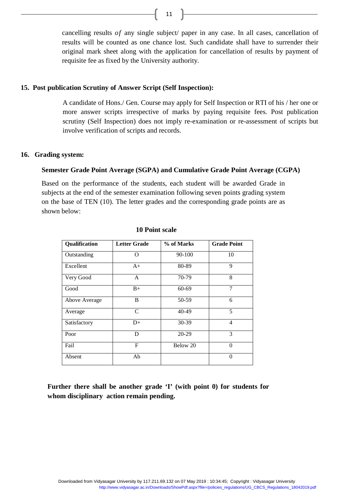cancelling results *of* any single subject/ paper in any case. In all cases, cancellation of results will be counted as one chance lost. Such candidate shall have to surrender their original mark sheet along with the application for cancellation of results by payment of requisite fee as fixed by the University authority.

#### **15. Post publication Scrutiny of Answer Script (Self Inspection):**

A candidate of Hons./ Gen. Course may apply for Self Inspection or RTI of his / her one or more answer scripts irrespective of marks by paying requisite fees. Post publication scrutiny (Self Inspection) does not imply re-examination or re-assessment of scripts but involve verification of scripts and records.

#### **16. Grading system:**

#### **Semester Grade Point Average (SGPA) and Cumulative Grade Point Average (CGPA)**

Based on the performance of the students, each student will be awarded Grade in subjects at the end of the semester examination following seven points grading system on the base of TEN (10). The letter grades and the corresponding grade points are as shown below:

| Qualification | <b>Letter Grade</b> | % of Marks | <b>Grade Point</b> |
|---------------|---------------------|------------|--------------------|
| Outstanding   | ∩                   | 90-100     | 10                 |
| Excellent     | $A+$                | 80-89      | 9                  |
| Very Good     | A                   | 70-79      | 8                  |
| Good          | $B+$                | $60 - 69$  | $\overline{7}$     |
| Above Average | B                   | 50-59      | 6                  |
| Average       | C                   | 40-49      | 5                  |
| Satisfactory  | $D+$                | 30-39      | $\overline{4}$     |
| Poor          | D                   | $20 - 29$  | 3                  |
| Fail          | F                   | Below 20   | $\Omega$           |
| Absent        | Ab                  |            | $\theta$           |

#### **10 Point scale**

**Further there shall be another grade 'I' (with point 0) for students for whom disciplinary action remain pending.**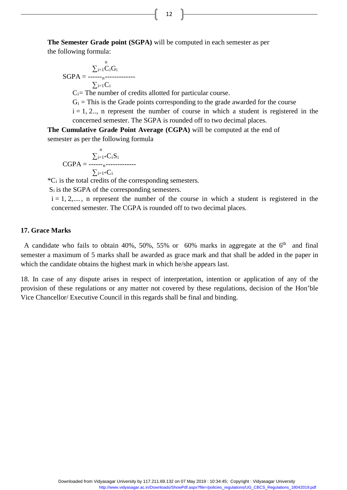**The Semester Grade point (SGPA)** will be computed in each semester as per the following formula:

$$
SGPA = \frac{\sum_{i=1}^{n} C_i G_i}{\sum_{i=1}^{n} C_i}
$$

 $C_i$ = The number of credits allotted for particular course.

 $G_i$  = This is the Grade points corresponding to the grade awarded for the course

 $i = 1, 2...$ , n represent the number of course in which a student is registered in the concerned semester. The SGPA is rounded off to two decimal places.

**The Cumulative Grade Point Average (CGPA)** will be computed at the end of semester as per the following formula

$$
CGPA = \frac{\sum_{i=1}^{n} C_i S_i}{\sum_{i=1}^{n} C_i}
$$

 $^{\ast}C_{i}$  is the total credits of the corresponding semesters.

S<sub>i</sub> is the SGPA of the corresponding semesters.

 $i = 1, 2, \dots, n$  represent the number of the course in which a student is registered in the concerned semester. The CGPA is rounded off to two decimal places.

#### **17. Grace Marks**

A candidate who fails to obtain 40%, 50%, 55% or  $60\%$  marks in aggregate at the 6<sup>th</sup> and final semester a maximum of 5 marks shall be awarded as grace mark and that shall be added in the paper in which the candidate obtains the highest mark in which he/she appears last.

18. In case of any dispute arises in respect of interpretation, intention or application of any of the provision of these regulations or any matter not covered by these regulations, decision of the Hon'ble Vice Chancellor/ Executive Council in this regards shall be final and binding.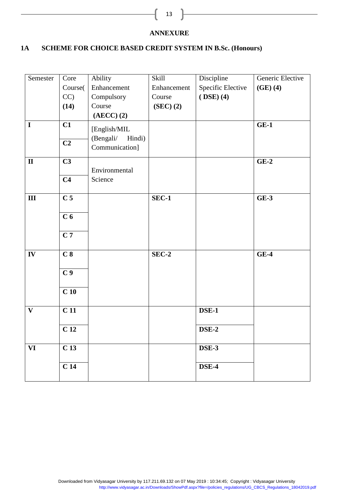**ANNEXURE**

#### **1A SCHEME FOR CHOICE BASED CREDIT SYSTEM IN B.Sc. (Honours)**

| Semester               | Core             | Ability                             | Skill       | Discipline        | Generic Elective |
|------------------------|------------------|-------------------------------------|-------------|-------------------|------------------|
|                        | Course(          | Enhancement                         | Enhancement | Specific Elective | $(GE)$ $(4)$     |
|                        | CC               | Compulsory                          | Course      | $(DSE)$ $(4)$     |                  |
|                        | (14)             | Course                              | (SEC) (2)   |                   |                  |
|                        |                  | $(AECC)$ $(2)$                      |             |                   |                  |
| $\mathbf I$            | C1               | [English/MIL<br>(Bengali/<br>Hindi) |             |                   | $GE-1$           |
|                        | C <sub>2</sub>   | Communication]                      |             |                   |                  |
| $\mathbf{I}\mathbf{I}$ | C <sub>3</sub>   | Environmental                       |             |                   | $GE-2$           |
|                        | C <sub>4</sub>   | Science                             |             |                   |                  |
| $\mathbf{III}$         | C <sub>5</sub>   |                                     | $SEC-1$     |                   | $GE-3$           |
|                        | C <sub>6</sub>   |                                     |             |                   |                  |
|                        | $\overline{C}$ 7 |                                     |             |                   |                  |
| $I\mathbf{V}$          | C <sub>8</sub>   |                                     | $SEC-2$     |                   | $GE-4$           |
|                        | C <sub>9</sub>   |                                     |             |                   |                  |
|                        | C <sub>10</sub>  |                                     |             |                   |                  |
| $\mathbf{V}$           | C <sub>11</sub>  |                                     |             | DSE-1             |                  |
|                        | C <sub>12</sub>  |                                     |             | DSE-2             |                  |
| <b>VI</b>              | C <sub>13</sub>  |                                     |             | DSE-3             |                  |
|                        | C <sub>14</sub>  |                                     |             | DSE-4             |                  |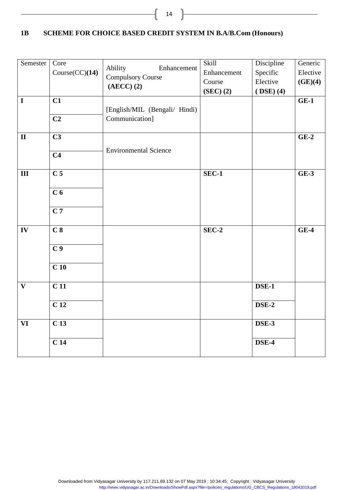#### **1B SCHEME FOR CHOICE BASED CREDIT SYSTEM IN B.A/B.Com (Honours)**

ſ

| Semester     | Core                     | Ability<br>Enhancement        | Skill         | Discipline    | Generic  |
|--------------|--------------------------|-------------------------------|---------------|---------------|----------|
|              | Course(CC)(14)           | <b>Compulsory Course</b>      | Enhancement   | Specific      | Elective |
|              |                          | $(AECC)$ $(2)$                | Course        | Elective      | (GE)(4)  |
|              |                          |                               | $(SEC)$ $(2)$ | $(DSE)$ $(4)$ |          |
| $\mathbf I$  | C1                       |                               |               |               | $GE-1$   |
|              |                          | [English/MIL (Bengali/ Hindi) |               |               |          |
|              | C <sub>2</sub>           | Communication]                |               |               |          |
|              |                          |                               |               |               |          |
| $\mathbf{I}$ | $\overline{\mathbf{C3}}$ |                               |               |               | $GE-2$   |
|              |                          |                               |               |               |          |
|              | C <sub>4</sub>           | <b>Environmental Science</b>  |               |               |          |
|              |                          |                               |               |               |          |
| III          | $\overline{C}$ 5         |                               | <b>SEC-1</b>  |               | $GE-3$   |
|              |                          |                               |               |               |          |
|              | C <sub>6</sub>           |                               |               |               |          |
|              |                          |                               |               |               |          |
|              | $\overline{C}$ 7         |                               |               |               |          |
|              |                          |                               |               |               |          |
| IV           | C <sub>8</sub>           |                               | $SEC-2$       |               | $GE-4$   |
|              |                          |                               |               |               |          |
|              | C <sub>9</sub>           |                               |               |               |          |
|              |                          |                               |               |               |          |
|              | C <sub>10</sub>          |                               |               |               |          |
|              |                          |                               |               |               |          |
| $\mathbf{V}$ | C <sub>11</sub>          |                               |               | <b>DSE-1</b>  |          |
|              |                          |                               |               |               |          |
|              | $\overline{C}$ 12        |                               |               | <b>DSE-2</b>  |          |
|              |                          |                               |               |               |          |
|              |                          |                               |               |               |          |
| VI           | C <sub>13</sub>          |                               |               | DSE-3         |          |
|              |                          |                               |               |               |          |
|              | $\overline{C}$ 14        |                               |               | DSE-4         |          |
|              |                          |                               |               |               |          |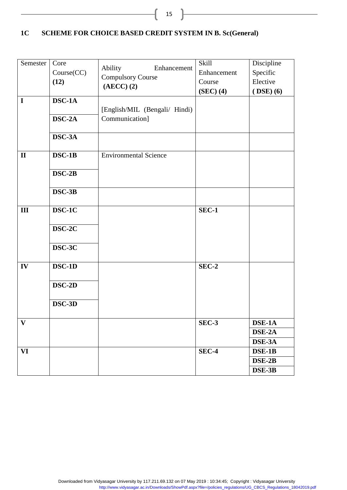### **1C SCHEME FOR CHOICE BASED CREDIT SYSTEM IN B. Sc(General)**

| Semester  <br>$\mathbf I$ | Core<br>Course(CC)<br>(12)<br>$DSC-1A$<br>DSC-2A<br>DSC-3A | Ability<br>Enhancement<br><b>Compulsory Course</b><br>$(AECC)$ $(2)$<br>[English/MIL (Bengali/ Hindi)<br>Communication] | Skill<br>Enhancement<br>Course<br>$(SEC)$ (4) | Discipline<br>Specific<br>Elective<br>$(DSE)$ (6) |
|---------------------------|------------------------------------------------------------|-------------------------------------------------------------------------------------------------------------------------|-----------------------------------------------|---------------------------------------------------|
| $\mathbf{I}$              | $DSC-1B$<br>$DSC-2B$<br>$DSC-3B$                           | <b>Environmental Science</b>                                                                                            |                                               |                                                   |
| III                       | DSC-1C<br>DSC-2C<br>DSC-3C                                 |                                                                                                                         | $SEC-1$                                       |                                                   |
| IV                        | DSC-1D<br>$DSC-2D$<br>DSC-3D                               |                                                                                                                         | $SEC-2$                                       |                                                   |
| $\mathbf{V}$              |                                                            |                                                                                                                         | <b>SEC-3</b>                                  | DSE-1A<br>$\overline{\text{DSE-2A}}$<br>DSE-3A    |
| <b>VI</b>                 |                                                            |                                                                                                                         | SEC-4                                         | DSE-1B<br>$DSE-2B$<br>DSE-3B                      |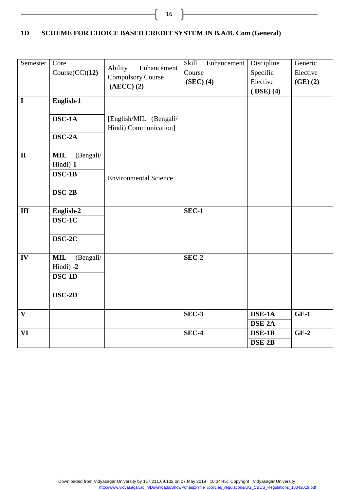#### **1D SCHEME FOR CHOICE BASED CREDIT SYSTEM IN B.A/B. Com (General)**

ſ

| Semester<br>$\mathbf I$ | Core<br>Course(CC)(12)<br>English-1<br>DSC-1A               | Ability<br>Enhancement<br><b>Compulsory Course</b><br>$(AECC)$ $(2)$<br>[English/MIL (Bengali/ | Skill<br>Enhancement<br>Course<br>$(SEC)$ (4) | Discipline<br>Specific<br>Elective<br>$(DSE)$ $(4)$ | Generic<br>Elective<br>$(GE)$ $(2)$ |
|-------------------------|-------------------------------------------------------------|------------------------------------------------------------------------------------------------|-----------------------------------------------|-----------------------------------------------------|-------------------------------------|
|                         | $DSC-2A$                                                    | Hindi) Communication]                                                                          |                                               |                                                     |                                     |
| $\mathbf{I}$            | <b>MIL</b><br>(Bengali/<br>Hindi)-1<br>$DSC-1B$<br>$DSC-2B$ | <b>Environmental Science</b>                                                                   |                                               |                                                     |                                     |
| $\mathbf{III}$          | English-2<br>$DSC-1C$<br>DSC-2C                             |                                                                                                | SEC-1                                         |                                                     |                                     |
| IV                      | <b>MIL</b><br>(Bengali/<br>Hindi) -2<br>DSC-1D<br>DSC-2D    |                                                                                                | SEC-2                                         |                                                     |                                     |
| $\mathbf{V}$            |                                                             |                                                                                                | SEC-3                                         | DSE-1A<br>DSE-2A                                    | $GE-1$                              |
| VI                      |                                                             |                                                                                                | $SEC-4$                                       | DSE-1B<br>DSE-2B                                    | $GE-2$                              |